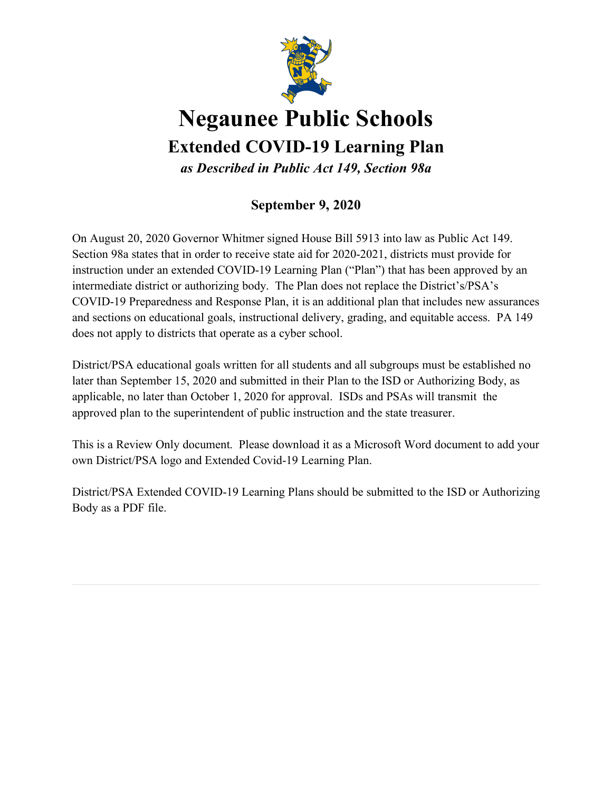

# **Negaunee Public Schools**

**Extended COVID-19 Learning Plan**

*as Described in Public Act 149, Section 98a*

# **September 9, 2020**

On August 20, 2020 Governor Whitmer signed House Bill 5913 into law as Public Act 149. Section 98a states that in order to receive state aid for 2020-2021, districts must provide for instruction under an extended COVID-19 Learning Plan ("Plan") that has been approved by an intermediate district or authorizing body. The Plan does not replace the District's/PSA's COVID-19 Preparedness and Response Plan, it is an additional plan that includes new assurances and sections on educational goals, instructional delivery, grading, and equitable access. PA 149 does not apply to districts that operate as a cyber school.

District/PSA educational goals written for all students and all subgroups must be established no later than September 15, 2020 and submitted in their Plan to the ISD or Authorizing Body, as applicable, no later than October 1, 2020 for approval. ISDs and PSAs will transmit the approved plan to the superintendent of public instruction and the state treasurer.

This is a Review Only document. Please download it as a Microsoft Word document to add your own District/PSA logo and Extended Covid-19 Learning Plan.

District/PSA Extended COVID-19 Learning Plans should be submitted to the ISD or Authorizing Body as a PDF file.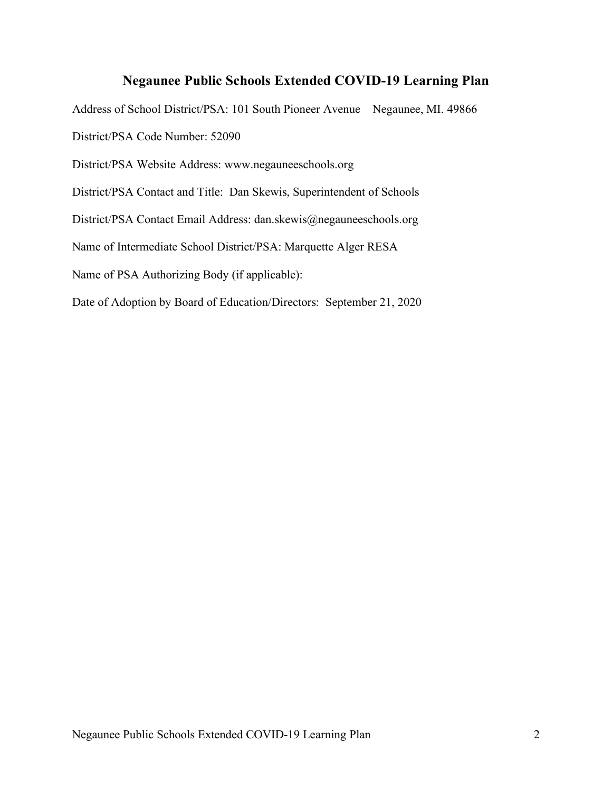# **Negaunee Public Schools Extended COVID-19 Learning Plan**

Address of School District/PSA: 101 South Pioneer Avenue Negaunee, MI. 49866 District/PSA Code Number: 52090 District/PSA Website Address: www.negauneeschools.org District/PSA Contact and Title: Dan Skewis, Superintendent of Schools District/PSA Contact Email Address: dan.skewis@negauneeschools.org Name of Intermediate School District/PSA: Marquette Alger RESA Name of PSA Authorizing Body (if applicable): Date of Adoption by Board of Education/Directors: September 21, 2020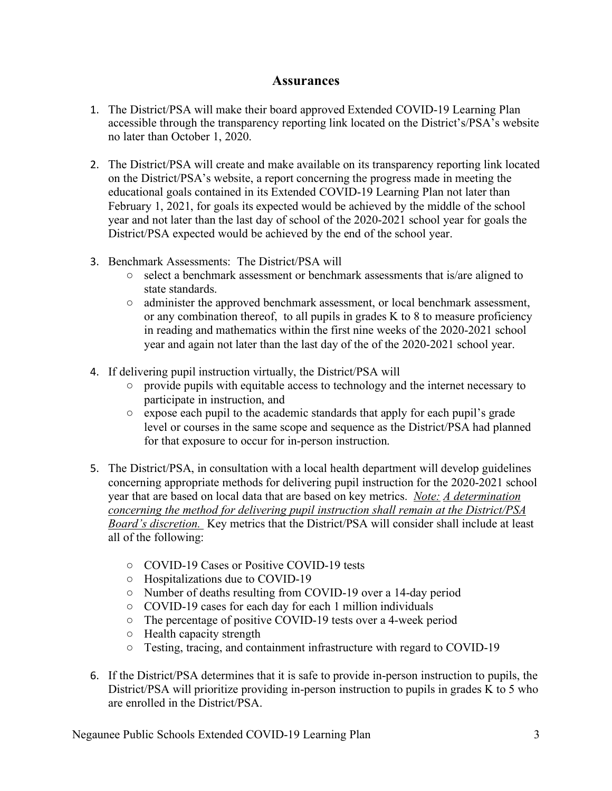### **Assurances**

- 1. The District/PSA will make their board approved Extended COVID-19 Learning Plan accessible through the transparency reporting link located on the District's/PSA's website no later than October 1, 2020.
- 2. The District/PSA will create and make available on its transparency reporting link located on the District/PSA's website, a report concerning the progress made in meeting the educational goals contained in its Extended COVID-19 Learning Plan not later than February 1, 2021, for goals its expected would be achieved by the middle of the school year and not later than the last day of school of the 2020-2021 school year for goals the District/PSA expected would be achieved by the end of the school year.
- 3. Benchmark Assessments: The District/PSA will
	- select a benchmark assessment or benchmark assessments that is/are aligned to state standards.
	- administer the approved benchmark assessment, or local benchmark assessment, or any combination thereof, to all pupils in grades K to 8 to measure proficiency in reading and mathematics within the first nine weeks of the 2020-2021 school year and again not later than the last day of the of the 2020-2021 school year.
- 4. If delivering pupil instruction virtually, the District/PSA will
	- provide pupils with equitable access to technology and the internet necessary to participate in instruction, and
	- expose each pupil to the academic standards that apply for each pupil's grade level or courses in the same scope and sequence as the District/PSA had planned for that exposure to occur for in-person instruction.
- 5. The District/PSA, in consultation with a local health department will develop guidelines concerning appropriate methods for delivering pupil instruction for the 2020-2021 school year that are based on local data that are based on key metrics. *Note: A determination concerning the method for delivering pupil instruction shall remain at the District/PSA Board's discretion.* Key metrics that the District/PSA will consider shall include at least all of the following:
	- COVID-19 Cases or Positive COVID-19 tests
	- Hospitalizations due to COVID-19
	- Number of deaths resulting from COVID-19 over a 14-day period
	- COVID-19 cases for each day for each 1 million individuals
	- The percentage of positive COVID-19 tests over a 4-week period
	- Health capacity strength
	- Testing, tracing, and containment infrastructure with regard to COVID-19
- 6. If the District/PSA determines that it is safe to provide in-person instruction to pupils, the District/PSA will prioritize providing in-person instruction to pupils in grades K to 5 who are enrolled in the District/PSA.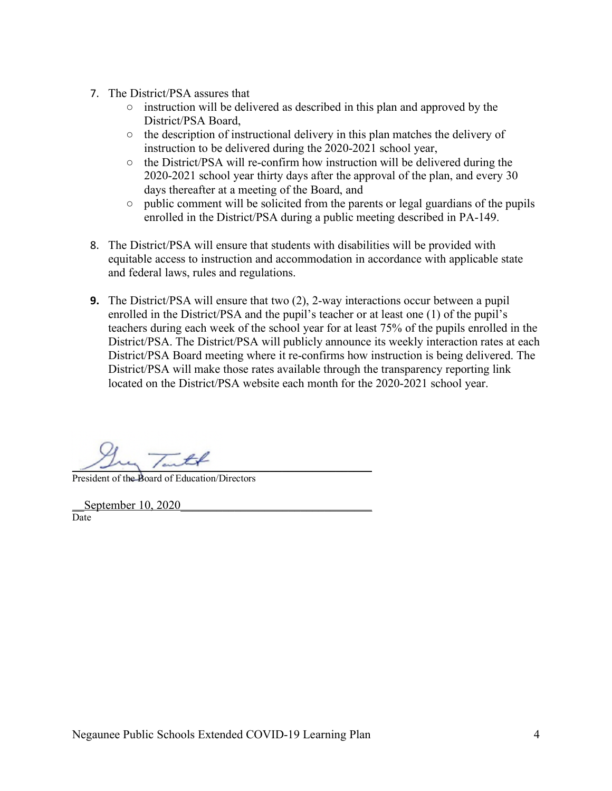- 7. The District/PSA assures that
	- instruction will be delivered as described in this plan and approved by the District/PSA Board,
	- $\circ$  the description of instructional delivery in this plan matches the delivery of instruction to be delivered during the 2020-2021 school year,
	- the District/PSA will re-confirm how instruction will be delivered during the 2020-2021 school year thirty days after the approval of the plan, and every 30 days thereafter at a meeting of the Board, and
	- public comment will be solicited from the parents or legal guardians of the pupils enrolled in the District/PSA during a public meeting described in PA-149.
- 8. The District/PSA will ensure that students with disabilities will be provided with equitable access to instruction and accommodation in accordance with applicable state and federal laws, rules and regulations.
- **9.** The District/PSA will ensure that two (2), 2-way interactions occur between a pupil enrolled in the District/PSA and the pupil's teacher or at least one (1) of the pupil's teachers during each week of the school year for at least 75% of the pupils enrolled in the District/PSA. The District/PSA will publicly announce its weekly interaction rates at each District/PSA Board meeting where it re-confirms how instruction is being delivered. The District/PSA will make those rates available through the transparency reporting link located on the District/PSA website each month for the 2020-2021 school year.

 $\frac{1}{2}$   $\frac{1}{2}$   $\frac{1}{2}$   $\frac{1}{2}$   $\frac{1}{2}$ 

President of the Board of Education/Directors

September 10, 2020 Date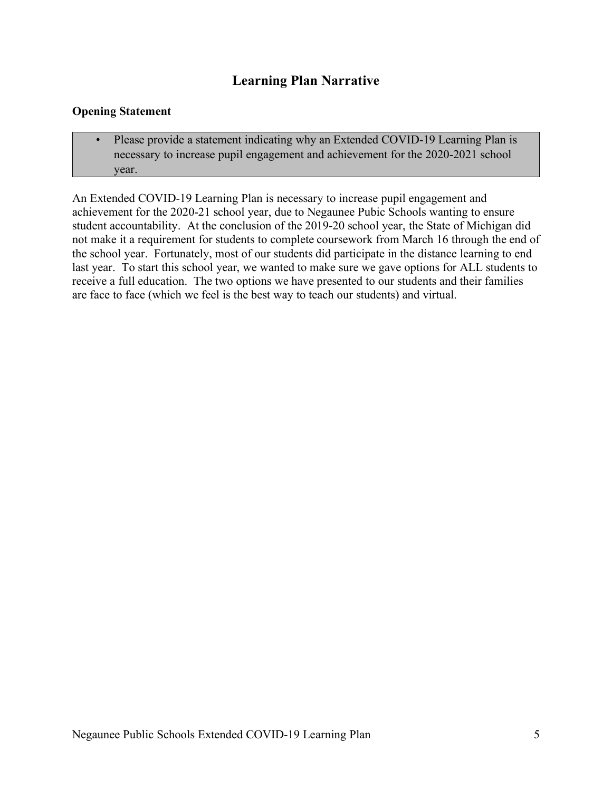# **Learning Plan Narrative**

#### **Opening Statement**

• Please provide a statement indicating why an Extended COVID-19 Learning Plan is necessary to increase pupil engagement and achievement for the 2020-2021 school year.

An Extended COVID-19 Learning Plan is necessary to increase pupil engagement and achievement for the 2020-21 school year, due to Negaunee Pubic Schools wanting to ensure student accountability. At the conclusion of the 2019-20 school year, the State of Michigan did not make it a requirement for students to complete coursework from March 16 through the end of the school year. Fortunately, most of our students did participate in the distance learning to end last year. To start this school year, we wanted to make sure we gave options for ALL students to receive a full education. The two options we have presented to our students and their families are face to face (which we feel is the best way to teach our students) and virtual.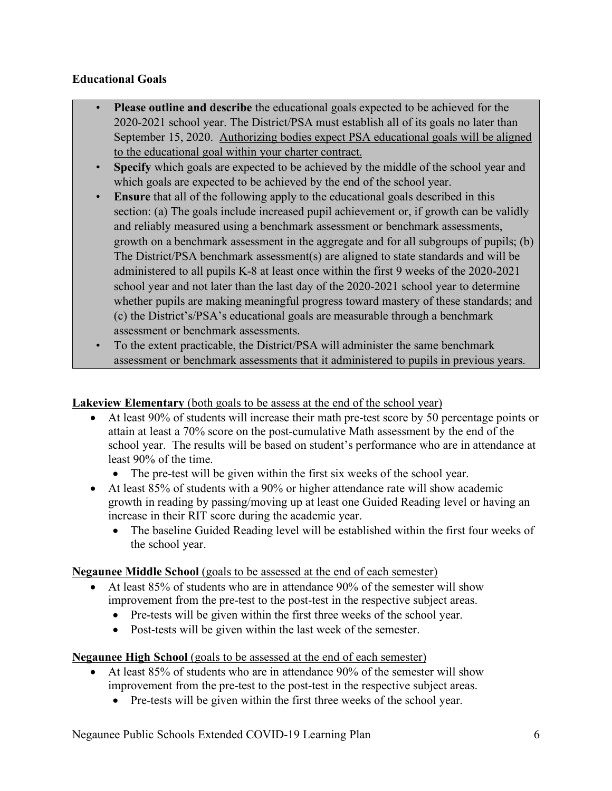# **Educational Goals**

- **Please outline and describe** the educational goals expected to be achieved for the 2020-2021 school year. The District/PSA must establish all of its goals no later than September 15, 2020. Authorizing bodies expect PSA educational goals will be aligned to the educational goal within your charter contract.
- **Specify** which goals are expected to be achieved by the middle of the school year and which goals are expected to be achieved by the end of the school year.
- **Ensure** that all of the following apply to the educational goals described in this section: (a) The goals include increased pupil achievement or, if growth can be validly and reliably measured using a benchmark assessment or benchmark assessments, growth on a benchmark assessment in the aggregate and for all subgroups of pupils; (b) The District/PSA benchmark assessment(s) are aligned to state standards and will be administered to all pupils K-8 at least once within the first 9 weeks of the 2020-2021 school year and not later than the last day of the 2020-2021 school year to determine whether pupils are making meaningful progress toward mastery of these standards; and (c) the District's/PSA's educational goals are measurable through a benchmark assessment or benchmark assessments.
- To the extent practicable, the District/PSA will administer the same benchmark assessment or benchmark assessments that it administered to pupils in previous years.

# **Lakeview Elementary** (both goals to be assess at the end of the school year)

- At least 90% of students will increase their math pre-test score by 50 percentage points or attain at least a 70% score on the post-cumulative Math assessment by the end of the school year. The results will be based on student's performance who are in attendance at least 90% of the time.
	- The pre-test will be given within the first six weeks of the school year.
- At least 85% of students with a 90% or higher attendance rate will show academic growth in reading by passing/moving up at least one Guided Reading level or having an increase in their RIT score during the academic year.
	- The baseline Guided Reading level will be established within the first four weeks of the school year.

# **Negaunee Middle School** (goals to be assessed at the end of each semester)

- At least 85% of students who are in attendance 90% of the semester will show improvement from the pre-test to the post-test in the respective subject areas.
	- Pre-tests will be given within the first three weeks of the school year.
	- Post-tests will be given within the last week of the semester.

# **Negaunee High School** (goals to be assessed at the end of each semester)

- At least 85% of students who are in attendance 90% of the semester will show improvement from the pre-test to the post-test in the respective subject areas.
	- Pre-tests will be given within the first three weeks of the school year.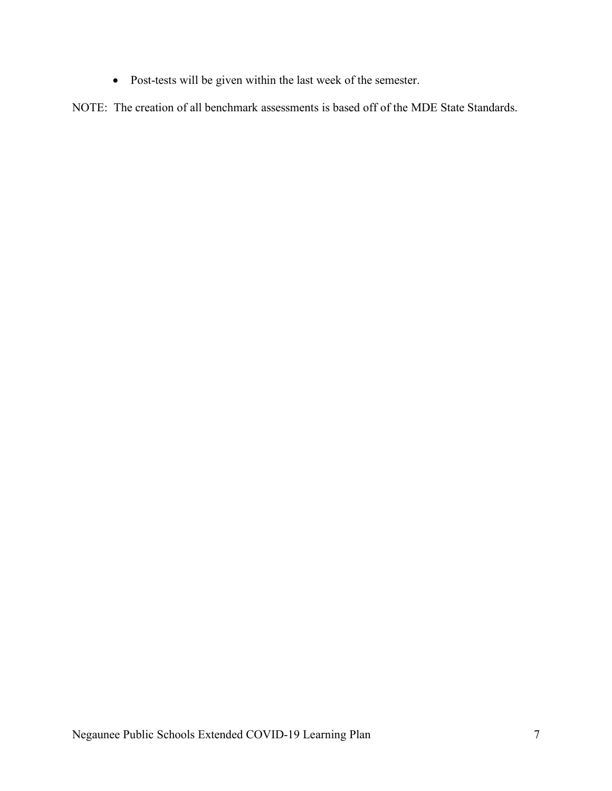• Post-tests will be given within the last week of the semester.

NOTE: The creation of all benchmark assessments is based off of the MDE State Standards.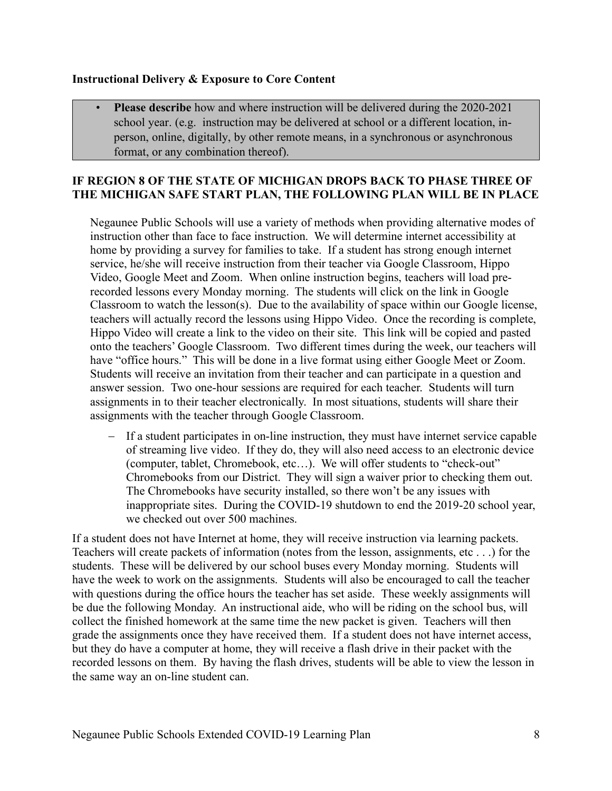#### **Instructional Delivery & Exposure to Core Content**

• **Please describe** how and where instruction will be delivered during the 2020-2021 school year. (e.g. instruction may be delivered at school or a different location, inperson, online, digitally, by other remote means, in a synchronous or asynchronous format, or any combination thereof).

#### **IF REGION 8 OF THE STATE OF MICHIGAN DROPS BACK TO PHASE THREE OF THE MICHIGAN SAFE START PLAN, THE FOLLOWING PLAN WILL BE IN PLACE**

Negaunee Public Schools will use a variety of methods when providing alternative modes of instruction other than face to face instruction. We will determine internet accessibility at home by providing a survey for families to take. If a student has strong enough internet service, he/she will receive instruction from their teacher via Google Classroom, Hippo Video, Google Meet and Zoom. When online instruction begins, teachers will load prerecorded lessons every Monday morning. The students will click on the link in Google Classroom to watch the lesson(s). Due to the availability of space within our Google license, teachers will actually record the lessons using Hippo Video. Once the recording is complete, Hippo Video will create a link to the video on their site. This link will be copied and pasted onto the teachers' Google Classroom. Two different times during the week, our teachers will have "office hours." This will be done in a live format using either Google Meet or Zoom. Students will receive an invitation from their teacher and can participate in a question and answer session. Two one-hour sessions are required for each teacher. Students will turn assignments in to their teacher electronically. In most situations, students will share their assignments with the teacher through Google Classroom.

- If a student participates in on-line instruction, they must have internet service capable of streaming live video. If they do, they will also need access to an electronic device (computer, tablet, Chromebook, etc…). We will offer students to "check-out" Chromebooks from our District. They will sign a waiver prior to checking them out. The Chromebooks have security installed, so there won't be any issues with inappropriate sites. During the COVID-19 shutdown to end the 2019-20 school year, we checked out over 500 machines.

If a student does not have Internet at home, they will receive instruction via learning packets. Teachers will create packets of information (notes from the lesson, assignments, etc . . .) for the students. These will be delivered by our school buses every Monday morning. Students will have the week to work on the assignments. Students will also be encouraged to call the teacher with questions during the office hours the teacher has set aside. These weekly assignments will be due the following Monday. An instructional aide, who will be riding on the school bus, will collect the finished homework at the same time the new packet is given. Teachers will then grade the assignments once they have received them. If a student does not have internet access, but they do have a computer at home, they will receive a flash drive in their packet with the recorded lessons on them. By having the flash drives, students will be able to view the lesson in the same way an on-line student can.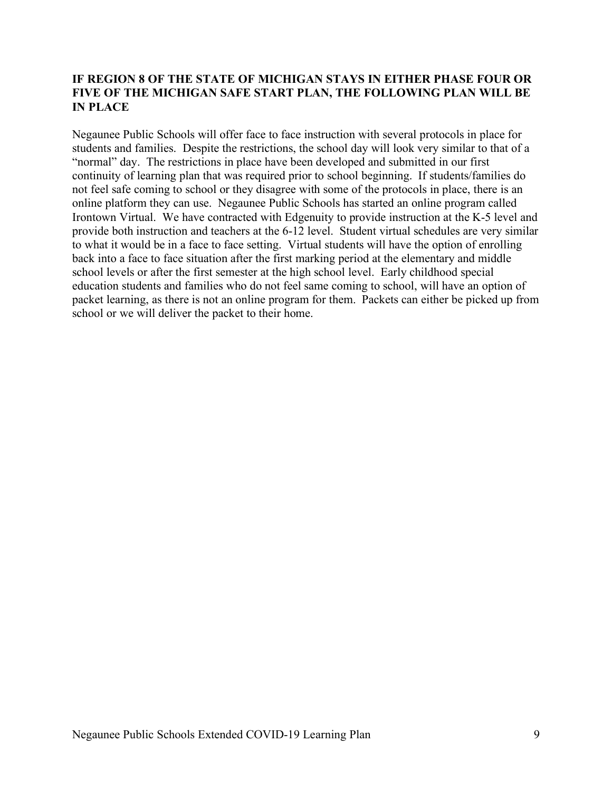#### **IF REGION 8 OF THE STATE OF MICHIGAN STAYS IN EITHER PHASE FOUR OR FIVE OF THE MICHIGAN SAFE START PLAN, THE FOLLOWING PLAN WILL BE IN PLACE**

Negaunee Public Schools will offer face to face instruction with several protocols in place for students and families. Despite the restrictions, the school day will look very similar to that of a "normal" day. The restrictions in place have been developed and submitted in our first continuity of learning plan that was required prior to school beginning. If students/families do not feel safe coming to school or they disagree with some of the protocols in place, there is an online platform they can use. Negaunee Public Schools has started an online program called Irontown Virtual. We have contracted with Edgenuity to provide instruction at the K-5 level and provide both instruction and teachers at the 6-12 level. Student virtual schedules are very similar to what it would be in a face to face setting. Virtual students will have the option of enrolling back into a face to face situation after the first marking period at the elementary and middle school levels or after the first semester at the high school level. Early childhood special education students and families who do not feel same coming to school, will have an option of packet learning, as there is not an online program for them. Packets can either be picked up from school or we will deliver the packet to their home.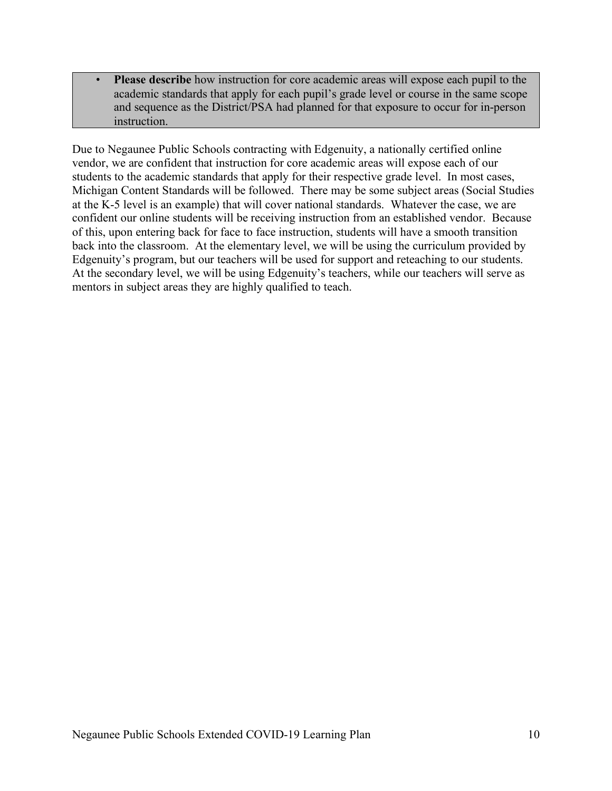• **Please describe** how instruction for core academic areas will expose each pupil to the academic standards that apply for each pupil's grade level or course in the same scope and sequence as the District/PSA had planned for that exposure to occur for in-person instruction.

Due to Negaunee Public Schools contracting with Edgenuity, a nationally certified online vendor, we are confident that instruction for core academic areas will expose each of our students to the academic standards that apply for their respective grade level. In most cases, Michigan Content Standards will be followed. There may be some subject areas (Social Studies at the K-5 level is an example) that will cover national standards. Whatever the case, we are confident our online students will be receiving instruction from an established vendor. Because of this, upon entering back for face to face instruction, students will have a smooth transition back into the classroom. At the elementary level, we will be using the curriculum provided by Edgenuity's program, but our teachers will be used for support and reteaching to our students. At the secondary level, we will be using Edgenuity's teachers, while our teachers will serve as mentors in subject areas they are highly qualified to teach.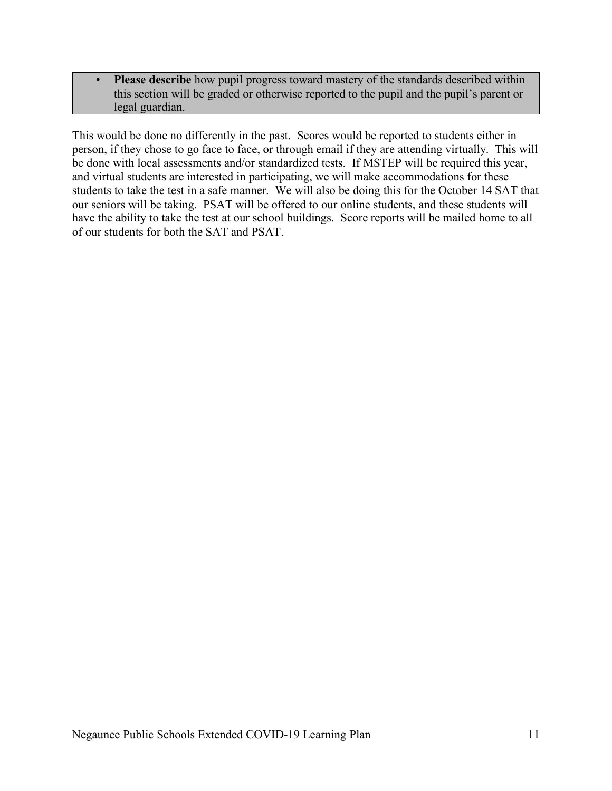• **Please describe** how pupil progress toward mastery of the standards described within this section will be graded or otherwise reported to the pupil and the pupil's parent or legal guardian.

This would be done no differently in the past. Scores would be reported to students either in person, if they chose to go face to face, or through email if they are attending virtually. This will be done with local assessments and/or standardized tests. If MSTEP will be required this year, and virtual students are interested in participating, we will make accommodations for these students to take the test in a safe manner. We will also be doing this for the October 14 SAT that our seniors will be taking. PSAT will be offered to our online students, and these students will have the ability to take the test at our school buildings. Score reports will be mailed home to all of our students for both the SAT and PSAT.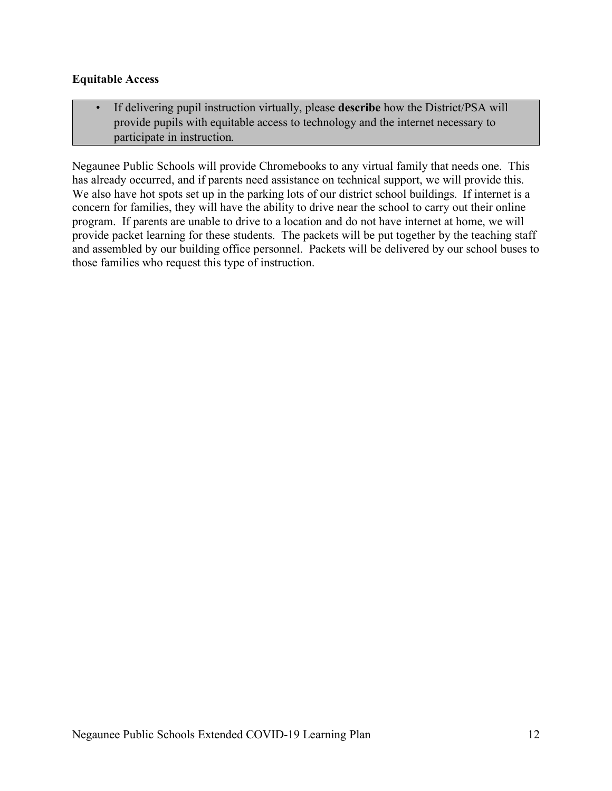#### **Equitable Access**

• If delivering pupil instruction virtually, please **describe** how the District/PSA will provide pupils with equitable access to technology and the internet necessary to participate in instruction.

Negaunee Public Schools will provide Chromebooks to any virtual family that needs one. This has already occurred, and if parents need assistance on technical support, we will provide this. We also have hot spots set up in the parking lots of our district school buildings. If internet is a concern for families, they will have the ability to drive near the school to carry out their online program. If parents are unable to drive to a location and do not have internet at home, we will provide packet learning for these students. The packets will be put together by the teaching staff and assembled by our building office personnel. Packets will be delivered by our school buses to those families who request this type of instruction.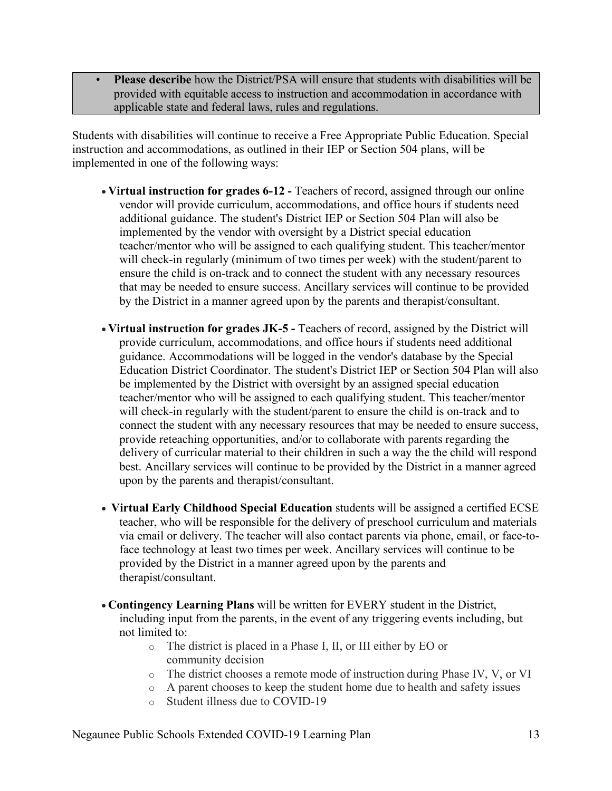• **Please describe** how the District/PSA will ensure that students with disabilities will be provided with equitable access to instruction and accommodation in accordance with applicable state and federal laws, rules and regulations.

Students with disabilities will continue to receive a Free Appropriate Public Education. Special instruction and accommodations, as outlined in their IEP or Section 504 plans, will be implemented in one of the following ways:

- **Virtual instruction for grades 6-12 -** Teachers of record, assigned through our online vendor will provide curriculum, accommodations, and office hours if students need additional guidance. The student's District IEP or Section 504 Plan will also be implemented by the vendor with oversight by a District special education teacher/mentor who will be assigned to each qualifying student. This teacher/mentor will check-in regularly (minimum of two times per week) with the student/parent to ensure the child is on-track and to connect the student with any necessary resources that may be needed to ensure success. Ancillary services will continue to be provided by the District in a manner agreed upon by the parents and therapist/consultant.
- **Virtual instruction for grades JK-5 -** Teachers of record, assigned by the District will provide curriculum, accommodations, and office hours if students need additional guidance. Accommodations will be logged in the vendor's database by the Special Education District Coordinator. The student's District IEP or Section 504 Plan will also be implemented by the District with oversight by an assigned special education teacher/mentor who will be assigned to each qualifying student. This teacher/mentor will check-in regularly with the student/parent to ensure the child is on-track and to connect the student with any necessary resources that may be needed to ensure success, provide reteaching opportunities, and/or to collaborate with parents regarding the delivery of curricular material to their children in such a way the the child will respond best. Ancillary services will continue to be provided by the District in a manner agreed upon by the parents and therapist/consultant.
- **Virtual Early Childhood Special Education** students will be assigned a certified ECSE teacher, who will be responsible for the delivery of preschool curriculum and materials via email or delivery. The teacher will also contact parents via phone, email, or face-toface technology at least two times per week. Ancillary services will continue to be provided by the District in a manner agreed upon by the parents and therapist/consultant.
- **Contingency Learning Plans** will be written for EVERY student in the District, including input from the parents, in the event of any triggering events including, but not limited to:
	- o The district is placed in a Phase I, II, or III either by EO or community decision
	- o The district chooses a remote mode of instruction during Phase IV, V, or VI
	- o A parent chooses to keep the student home due to health and safety issues
	- o Student illness due to COVID-19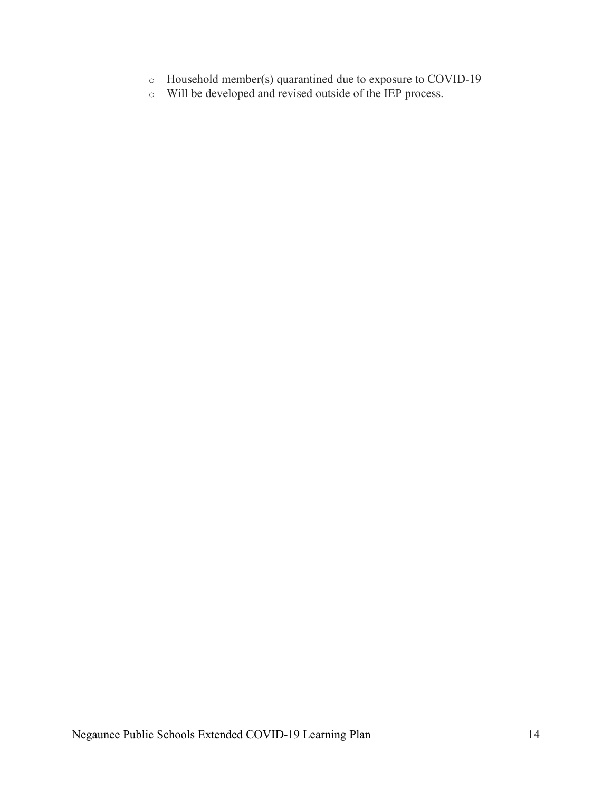- o Household member(s) quarantined due to exposure to COVID-19
- o Will be developed and revised outside of the IEP process.